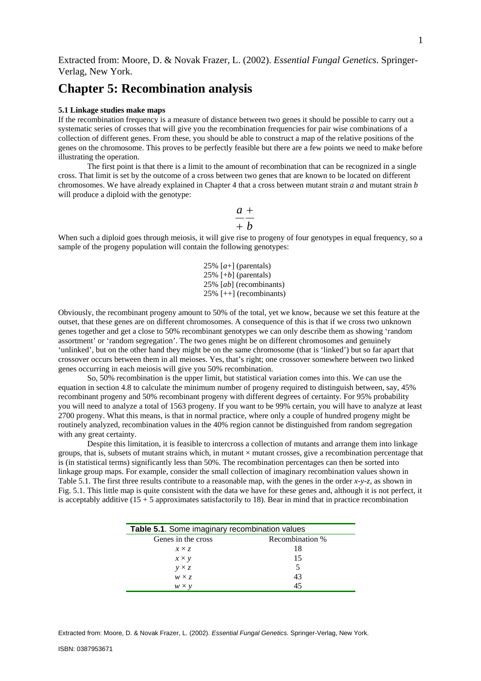Extracted from: Moore, D. & Novak Frazer, L. (2002). *Essential Fungal Genetics.* Springer-Verlag, New York.

# **Chapter 5: Recombination analysis**

## **5.1 Linkage studies make maps**

If the recombination frequency is a measure of distance between two genes it should be possible to carry out a systematic series of crosses that will give you the recombination frequencies for pair wise combinations of a collection of different genes. From these, you should be able to construct a map of the relative positions of the genes on the chromosome. This proves to be perfectly feasible but there are a few points we need to make before illustrating the operation.

 The first point is that there is a limit to the amount of recombination that can be recognized in a single cross. That limit is set by the outcome of a cross between two genes that are known to be located on different chromosomes. We have already explained in Chapter 4 that a cross between mutant strain *a* and mutant strain *b* will produce a diploid with the genotype:

$$
\frac{a}{+}\frac{+}{b}
$$

When such a diploid goes through meiosis, it will give rise to progeny of four genotypes in equal frequency, so a sample of the progeny population will contain the following genotypes:

> 25%  $[a+]$  (parentals) 25% [+*b*] (parentals) 25% [*ab*] (recombinants) 25% [++] (recombinants)

Obviously, the recombinant progeny amount to 50% of the total, yet we know, because we set this feature at the outset, that these genes are on different chromosomes. A consequence of this is that if we cross two unknown genes together and get a close to 50% recombinant genotypes we can only describe them as showing 'random assortment' or 'random segregation'. The two genes might be on different chromosomes and genuinely 'unlinked', but on the other hand they might be on the same chromosome (that is 'linked') but so far apart that crossover occurs between them in all meioses. Yes, that's right; one crossover somewhere between two linked genes occurring in each meiosis will give you 50% recombination.

 So, 50% recombination is the upper limit, but statistical variation comes into this. We can use the equation in section 4.8 to calculate the minimum number of progeny required to distinguish between, say, 45% recombinant progeny and 50% recombinant progeny with different degrees of certainty. For 95% probability you will need to analyze a total of 1563 progeny. If you want to be 99% certain, you will have to analyze at least 2700 progeny. What this means, is that in normal practice, where only a couple of hundred progeny might be routinely analyzed, recombination values in the 40% region cannot be distinguished from random segregation with any great certainty.

 Despite this limitation, it is feasible to intercross a collection of mutants and arrange them into linkage groups, that is, subsets of mutant strains which, in mutant  $\times$  mutant crosses, give a recombination percentage that is (in statistical terms) significantly less than 50%. The recombination percentages can then be sorted into linkage group maps. For example, consider the small collection of imaginary recombination values shown in Table 5.1. The first three results contribute to a reasonable map, with the genes in the order *x-y-z*, as shown in Fig. 5.1. This little map is quite consistent with the data we have for these genes and, although it is not perfect, it is acceptably additive  $(15 + 5$  approximates satisfactorily to 18). Bear in mind that in practice recombination

| <b>Table 5.1.</b> Some imaginary recombination values |                 |  |  |  |
|-------------------------------------------------------|-----------------|--|--|--|
| Genes in the cross                                    | Recombination % |  |  |  |
| $x \times z$                                          | 18              |  |  |  |
| $x \times y$                                          | 15              |  |  |  |
| $y \times z$                                          | 5               |  |  |  |
| $W \times Z$                                          | 43              |  |  |  |
| $w \times v$                                          |                 |  |  |  |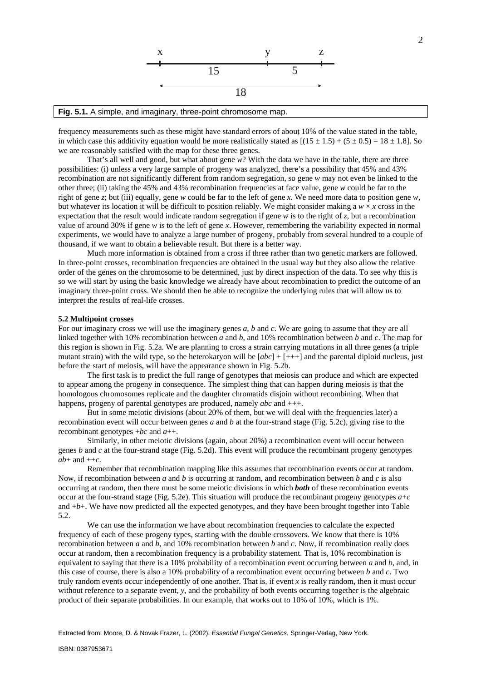

## **Fig. 5.1.** A simple, and imaginary, three-point chromosome map.

frequency measurements such as these might have standard errors of about 10% of the value stated in the table, in which case this additivity equation would be more realistically stated as  $[(15 \pm 1.5) + (5 \pm 0.5) = 18 \pm 1.8]$ . So we are reasonably satisfied with the map for these three genes.

 That's all well and good, but what about gene *w*? With the data we have in the table, there are three possibilities: (i) unless a very large sample of progeny was analyzed, there's a possibility that 45% and 43% recombination are not significantly different from random segregation, so gene *w* may not even be linked to the other three; (ii) taking the 45% and 43% recombination frequencies at face value, gene *w* could be far to the right of gene *z*; but (iii) equally, gene *w* could be far to the left of gene *x*. We need more data to position gene *w*, but whatever its location it will be difficult to position reliably. We might consider making a  $w \times x$  cross in the expectation that the result would indicate random segregation if gene *w* is to the right of *z*, but a recombination value of around 30% if gene *w* is to the left of gene *x*. However, remembering the variability expected in normal experiments, we would have to analyze a large number of progeny, probably from several hundred to a couple of thousand, if we want to obtain a believable result. But there is a better way.

 Much more information is obtained from a cross if three rather than two genetic markers are followed. In three-point crosses, recombination frequencies are obtained in the usual way but they also allow the relative order of the genes on the chromosome to be determined, just by direct inspection of the data. To see why this is so we will start by using the basic knowledge we already have about recombination to predict the outcome of an imaginary three-point cross. We should then be able to recognize the underlying rules that will allow us to interpret the results of real-life crosses.

### **5.2 Multipoint crosses**

For our imaginary cross we will use the imaginary genes *a*, *b* and *c*. We are going to assume that they are all linked together with 10% recombination between *a* and *b*, and 10% recombination between *b* and *c*. The map for this region is shown in Fig. 5.2a. We are planning to cross a strain carrying mutations in all three genes (a triple mutant strain) with the wild type, so the heterokaryon will be [*abc*] + [+++] and the parental diploid nucleus, just before the start of meiosis, will have the appearance shown in Fig. 5.2b.

 The first task is to predict the full range of genotypes that meiosis can produce and which are expected to appear among the progeny in consequence. The simplest thing that can happen during meiosis is that the homologous chromosomes replicate and the daughter chromatids disjoin without recombining. When that happens, progeny of parental genotypes are produced, namely *abc* and +++.

 But in some meiotic divisions (about 20% of them, but we will deal with the frequencies later) a recombination event will occur between genes *a* and *b* at the four-strand stage (Fig. 5.2c), giving rise to the recombinant genotypes +*bc* and *a*++.

 Similarly, in other meiotic divisions (again, about 20%) a recombination event will occur between genes *b* and *c* at the four-strand stage (Fig. 5.2d). This event will produce the recombinant progeny genotypes  $ab+$  and  $++c$ .

 Remember that recombination mapping like this assumes that recombination events occur at random. Now, if recombination between *a* and *b* is occurring at random, and recombination between *b* and *c* is also occurring at random, then there must be some meiotic divisions in which *both* of these recombination events occur at the four-strand stage (Fig. 5.2e). This situation will produce the recombinant progeny genotypes  $a+c$ and +*b*+. We have now predicted all the expected genotypes, and they have been brought together into Table 5.2.

 We can use the information we have about recombination frequencies to calculate the expected frequency of each of these progeny types, starting with the double crossovers. We know that there is 10% recombination between *a* and *b*, and 10% recombination between *b* and *c*. Now, if recombination really does occur at random, then a recombination frequency is a probability statement. That is, 10% recombination is equivalent to saying that there is a 10% probability of a recombination event occurring between *a* and *b*, and, in this case of course, there is also a 10% probability of a recombination event occurring between *b* and *c*. Two truly random events occur independently of one another. That is, if event *x* is really random, then it must occur without reference to a separate event, *y*, and the probability of both events occurring together is the algebraic product of their separate probabilities. In our example, that works out to 10% of 10%, which is 1%.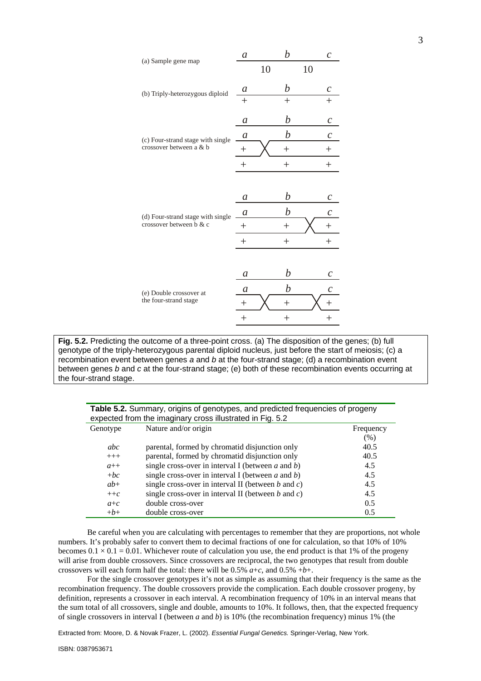

**Fig. 5.2.** Predicting the outcome of a three-point cross. (a) The disposition of the genes; (b) full genotype of the triply-heterozygous parental diploid nucleus, just before the start of meiosis; (c) a recombination event between genes *a* and *b* at the four-strand stage; (d) a recombination event between genes *b* and *c* at the four-strand stage; (e) both of these recombination events occurring at the four-strand stage.

| Table 5.2. Summary, origins of genotypes, and predicted frequencies of progeny<br>expected from the imaginary cross illustrated in Fig. 5.2 |                                                         |           |  |  |
|---------------------------------------------------------------------------------------------------------------------------------------------|---------------------------------------------------------|-----------|--|--|
| Genotype                                                                                                                                    | Nature and/or origin                                    | Frequency |  |  |
|                                                                                                                                             |                                                         | $(\%)$    |  |  |
| abc                                                                                                                                         | parental, formed by chromatid disjunction only          | 40.5      |  |  |
| $+++$                                                                                                                                       | parental, formed by chromatid disjunction only          | 40.5      |  |  |
| $a++$                                                                                                                                       | single cross-over in interval I (between $a$ and $b$ )  | 4.5       |  |  |
| $+bc$                                                                                                                                       | single cross-over in interval I (between $a$ and $b$ )  | 4.5       |  |  |
| $ab+$                                                                                                                                       | single cross-over in interval II (between $b$ and $c$ ) | 4.5       |  |  |
| $++c$                                                                                                                                       | single cross-over in interval II (between $b$ and $c$ ) | 4.5       |  |  |
| $a+c$                                                                                                                                       | double cross-over                                       | 0.5       |  |  |
| $+b+$                                                                                                                                       | double cross-over                                       | 0.5       |  |  |

 Be careful when you are calculating with percentages to remember that they are proportions, not whole numbers. It's probably safer to convert them to decimal fractions of one for calculation, so that 10% of 10% becomes  $0.1 \times 0.1 = 0.01$ . Whichever route of calculation you use, the end product is that 1% of the progeny will arise from double crossovers. Since crossovers are reciprocal, the two genotypes that result from double crossovers will each form half the total: there will be  $0.5\%$  *a+c*, and  $0.5\%$  +*b*+.

 For the single crossover genotypes it's not as simple as assuming that their frequency is the same as the recombination frequency. The double crossovers provide the complication. Each double crossover progeny, by definition, represents a crossover in each interval. A recombination frequency of 10% in an interval means that the sum total of all crossovers, single and double, amounts to 10%. It follows, then, that the expected frequency of single crossovers in interval I (between *a* and *b*) is 10% (the recombination frequency) minus 1% (the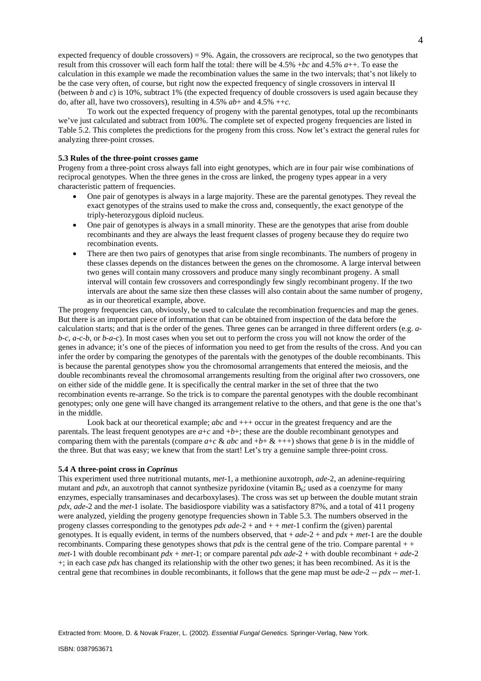expected frequency of double crossovers) = 9%. Again, the crossovers are reciprocal, so the two genotypes that result from this crossover will each form half the total: there will be 4.5% +*bc* and 4.5% *a*++. To ease the calculation in this example we made the recombination values the same in the two intervals; that's not likely to be the case very often, of course, but right now the expected frequency of single crossovers in interval II (between *b* and *c*) is 10%, subtract 1% (the expected frequency of double crossovers is used again because they do, after all, have two crossovers), resulting in 4.5% *ab*+ and 4.5% ++*c*.

 To work out the expected frequency of progeny with the parental genotypes, total up the recombinants we've just calculated and subtract from 100%. The complete set of expected progeny frequencies are listed in Table 5.2. This completes the predictions for the progeny from this cross. Now let's extract the general rules for analyzing three-point crosses.

## **5.3 Rules of the three-point crosses game**

Progeny from a three-point cross always fall into eight genotypes, which are in four pair wise combinations of reciprocal genotypes. When the three genes in the cross are linked, the progeny types appear in a very characteristic pattern of frequencies.

- One pair of genotypes is always in a large majority. These are the parental genotypes. They reveal the exact genotypes of the strains used to make the cross and, consequently, the exact genotype of the triply-heterozygous diploid nucleus.
- One pair of genotypes is always in a small minority. These are the genotypes that arise from double recombinants and they are always the least frequent classes of progeny because they do require two recombination events.
- There are then two pairs of genotypes that arise from single recombinants. The numbers of progeny in these classes depends on the distances between the genes on the chromosome. A large interval between two genes will contain many crossovers and produce many singly recombinant progeny. A small interval will contain few crossovers and correspondingly few singly recombinant progeny. If the two intervals are about the same size then these classes will also contain about the same number of progeny, as in our theoretical example, above.

The progeny frequencies can, obviously, be used to calculate the recombination frequencies and map the genes. But there is an important piece of information that can be obtained from inspection of the data before the calculation starts; and that is the order of the genes. Three genes can be arranged in three different orders (e.g. *ab-c*, *a-c-b*, or *b-a-c*). In most cases when you set out to perform the cross you will not know the order of the genes in advance; it's one of the pieces of information you need to get from the results of the cross. And you can infer the order by comparing the genotypes of the parentals with the genotypes of the double recombinants. This is because the parental genotypes show you the chromosomal arrangements that entered the meiosis, and the double recombinants reveal the chromosomal arrangements resulting from the original after two crossovers, one on either side of the middle gene. It is specifically the central marker in the set of three that the two recombination events re-arrange. So the trick is to compare the parental genotypes with the double recombinant genotypes; only one gene will have changed its arrangement relative to the others, and that gene is the one that's in the middle.

 Look back at our theoretical example; *abc* and +++ occur in the greatest frequency and are the parentals. The least frequent genotypes are  $a+c$  and  $+b+c$ ; these are the double recombinant genotypes and comparing them with the parentals (compare  $a+c \& abc$  and  $+b+\&++$ ) shows that gene *b* is in the middle of the three. But that was easy; we knew that from the start! Let's try a genuine sample three-point cross.

## **5.4 A three-point cross in** *Coprinus*

This experiment used three nutritional mutants, *met*-1, a methionine auxotroph, *ade*-2, an adenine-requiring mutant and *pdx*, an auxotroph that cannot synthesize pyridoxine (vitamin  $B_6$ ; used as a coenzyme for many enzymes, especially transaminases and decarboxylases). The cross was set up between the double mutant strain *pdx*, *ade*-2 and the *met*-1 isolate. The basidiospore viability was a satisfactory 87%, and a total of 411 progeny were analyzed, yielding the progeny genotype frequencies shown in Table 5.3. The numbers observed in the progeny classes corresponding to the genotypes *pdx ade*-2 + and + + *met*-1 confirm the (given) parental genotypes. It is equally evident, in terms of the numbers observed, that  $+ ade-2 + and pdx + met-1$  are the double recombinants. Comparing these genotypes shows that  $pdx$  is the central gene of the trio. Compare parental + + *met*-1 with double recombinant  $pdx + met-1$ ; or compare parental  $pdx$  ade-2 + with double recombinant +  $ade-2$ +; in each case *pdx* has changed its relationship with the other two genes; it has been recombined. As it is the central gene that recombines in double recombinants, it follows that the gene map must be *ade*-2 -- *pdx* -- *met*-1.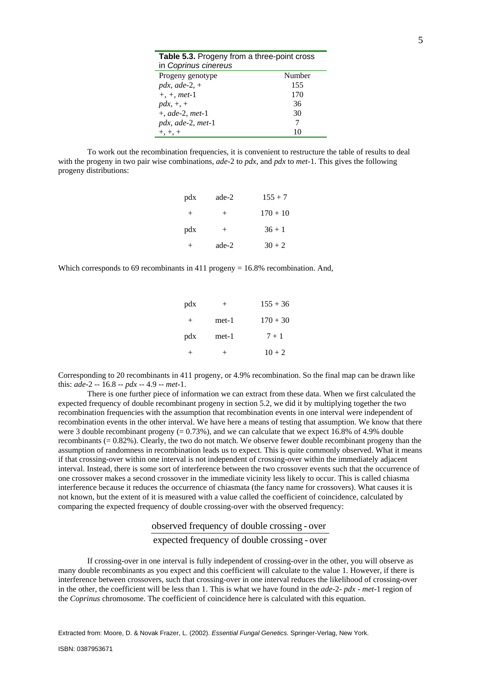| Table 5.3. Progeny from a three-point cross<br>in Coprinus cinereus |        |  |  |  |  |
|---------------------------------------------------------------------|--------|--|--|--|--|
| Progeny genotype                                                    | Number |  |  |  |  |
| pdx, ade-2, $+$                                                     | 155    |  |  |  |  |
| $+, +, met-1$                                                       | 170    |  |  |  |  |
| $p dx, +, +$                                                        | 36     |  |  |  |  |
| $+, ade-2, met-1$                                                   | 30     |  |  |  |  |
| pdx, ade-2, met-1                                                   |        |  |  |  |  |
| $+, +, +$                                                           | 10     |  |  |  |  |

 To work out the recombination frequencies, it is convenient to restructure the table of results to deal with the progeny in two pair wise combinations, *ade*-2 to *pdx*, and *pdx* to *met*-1. This gives the following progeny distributions:

| pdx    | ade-2  | $155 + 7$  |
|--------|--------|------------|
| $^{+}$ | $^{+}$ | $170 + 10$ |
| pdx    | $^{+}$ | $36 + 1$   |
|        | ade-2  | $30 + 2$   |

Which corresponds to 69 recombinants in 411 progeny = 16.8% recombination. And,

| pdx    | $^+$  | $155 + 36$ |
|--------|-------|------------|
| $^{+}$ | met-1 | $170 + 30$ |
| pdx    | met-1 | $7 + 1$    |
| $^{+}$ | $^+$  | $10 + 2$   |

Corresponding to 20 recombinants in 411 progeny, or 4.9% recombination. So the final map can be drawn like this: *ade*-2 -- 16.8 -- *pdx* -- 4.9 -- *met*-1.

 There is one further piece of information we can extract from these data. When we first calculated the expected frequency of double recombinant progeny in section 5.2, we did it by multiplying together the two recombination frequencies with the assumption that recombination events in one interval were independent of recombination events in the other interval. We have here a means of testing that assumption. We know that there were 3 double recombinant progeny  $(= 0.73\%)$ , and we can calculate that we expect 16.8% of 4.9% double recombinants  $(= 0.82\%)$ . Clearly, the two do not match. We observe fewer double recombinant progeny than the assumption of randomness in recombination leads us to expect. This is quite commonly observed. What it means if that crossing-over within one interval is not independent of crossing-over within the immediately adjacent interval. Instead, there is some sort of interference between the two crossover events such that the occurrence of one crossover makes a second crossover in the immediate vicinity less likely to occur. This is called chiasma interference because it reduces the occurrence of chiasmata (the fancy name for crossovers). What causes it is not known, but the extent of it is measured with a value called the coefficient of coincidence, calculated by comparing the expected frequency of double crossing-over with the observed frequency:

## observed frequency of double crossing - over expected frequency of double crossing - over

 If crossing-over in one interval is fully independent of crossing-over in the other, you will observe as many double recombinants as you expect and this coefficient will calculate to the value 1. However, if there is interference between crossovers, such that crossing-over in one interval reduces the likelihood of crossing-over in the other, the coefficient will be less than 1. This is what we have found in the *ade*-2- *pdx* - *met*-1 region of the *Coprinus* chromosome. The coefficient of coincidence here is calculated with this equation.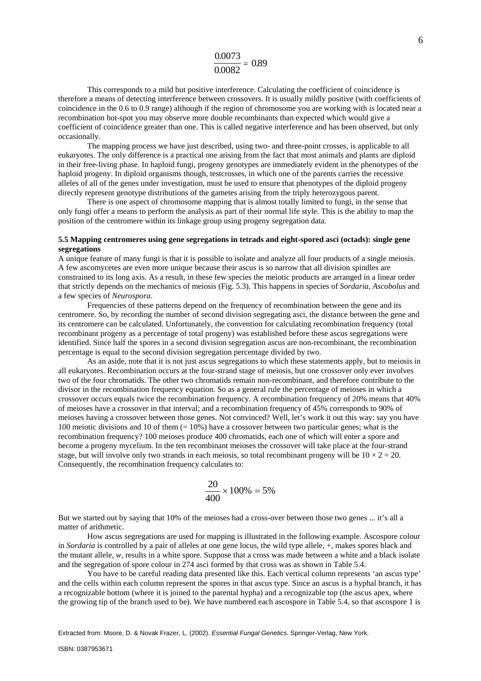$\frac{0.0073}{0.0082} = 0.89$ 

 This corresponds to a mild but positive interference. Calculating the coefficient of coincidence is therefore a means of detecting interference between crossovers. It is usually mildly positive (with coefficients of coincidence in the 0.6 to 0.9 range) although if the region of chromosome you are working with is located near a recombination hot-spot you may observe more double recombinants than expected which would give a coefficient of coincidence greater than one. This is called negative interference and has been observed, but only occasionally.

 The mapping process we have just described, using two- and three-point crosses, is applicable to all eukaryotes. The only difference is a practical one arising from the fact that most animals and plants are diploid in their free-living phase. In haploid fungi, progeny genotypes are immediately evident in the phenotypes of the haploid progeny. In diploid organisms though, testcrosses, in which one of the parents carries the recessive alleles of all of the genes under investigation, must be used to ensure that phenotypes of the diploid progeny directly represent genotype distributions of the gametes arising from the triply heterozygous parent.

 There is one aspect of chromosome mapping that is almost totally limited to fungi, in the sense that only fungi offer a means to perform the analysis as part of their normal life style. This is the ability to map the position of the centromere within its linkage group using progeny segregation data.

## **5.5 Mapping centromeres using gene segregations in tetrads and eight-spored asci (octads): single gene segregations**

A unique feature of many fungi is that it is possible to isolate and analyze all four products of a single meiosis. A few ascomycetes are even more unique because their ascus is so narrow that all division spindles are constrained to its long axis. As a result, in these few species the meiotic products are arranged in a linear order that strictly depends on the mechanics of meiosis (Fig. 5.3). This happens in species of *Sordaria*, *Ascobolus* and a few species of *Neurospora*.

 Frequencies of these patterns depend on the frequency of recombination between the gene and its centromere. So, by recording the number of second division segregating asci, the distance between the gene and its centromere can be calculated. Unfortunately, the convention for calculating recombination frequency (total recombinant progeny as a percentage of total progeny) was established before these ascus segregations were identified. Since half the spores in a second division segregation ascus are non-recombinant, the recombination percentage is equal to the second division segregation percentage divided by two.

 As an aside, note that it is not just ascus segregations to which these statements apply, but to meiosis in all eukaryotes. Recombination occurs at the four-strand stage of meiosis, but one crossover only ever involves two of the four chromatids. The other two chromatids remain non-recombinant, and therefore contribute to the divisor in the recombination frequency equation. So as a general rule the percentage of meioses in which a crossover occurs equals twice the recombination frequency. A recombination frequency of 20% means that 40% of meioses have a crossover in that interval; and a recombination frequency of 45% corresponds to 90% of meioses having a crossover between those genes. Not convinced? Well, let's work it out this way: say you have 100 meiotic divisions and 10 of them (= 10%) have a crossover between two particular genes; what is the recombination frequency? 100 meioses produce 400 chromatids, each one of which will enter a spore and become a progeny mycelium. In the ten recombinant meioses the crossover will take place at the four-strand stage, but will involve only two strands in each meiosis, so total recombinant progeny will be  $10 \times 2 = 20$ . Consequently, the recombination frequency calculates to:

$$
\frac{20}{400} \times 100\% = 5\%
$$

But we started out by saying that 10% of the meioses had a cross-over between those two genes ... it's all a matter of arithmetic.

 How ascus segregations are used for mapping is illustrated in the following example. Ascospore colour in *Sordaria* is controlled by a pair of alleles at one gene locus, the wild type allele, +, makes spores black and the mutant allele, *w*, results in a white spore. Suppose that a cross was made between a white and a black isolate and the segregation of spore colour in 274 asci formed by that cross was as shown in Table 5.4.

 You have to be careful reading data presented like this. Each vertical column represents 'an ascus type' and the cells within each column represent the spores in that ascus type. Since an ascus is a hyphal branch, it has a recognizable bottom (where it is joined to the parental hypha) and a recognizable top (the ascus apex, where the growing tip of the branch used to be). We have numbered each ascospore in Table 5.4, so that ascospore 1 is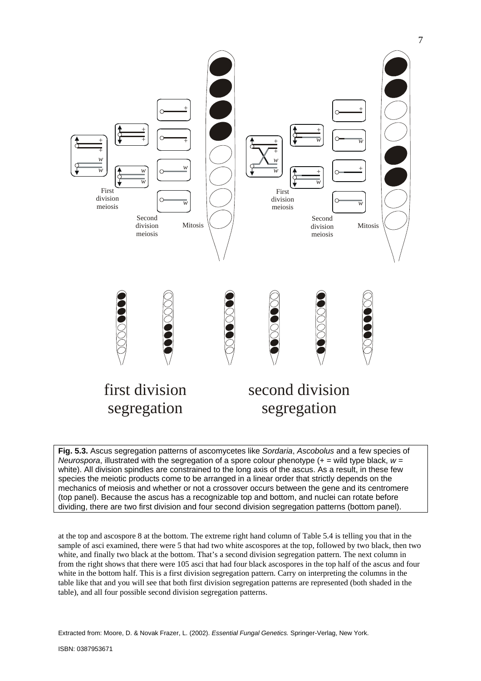

**Fig. 5.3.** Ascus segregation patterns of ascomycetes like *Sordaria*, *Ascobolus* and a few species of *Neurospora*, illustrated with the segregation of a spore colour phenotype (+ = wild type black, *w* = white). All division spindles are constrained to the long axis of the ascus. As a result, in these few species the meiotic products come to be arranged in a linear order that strictly depends on the mechanics of meiosis and whether or not a crossover occurs between the gene and its centromere (top panel). Because the ascus has a recognizable top and bottom, and nuclei can rotate before dividing, there are two first division and four second division segregation patterns (bottom panel).

at the top and ascospore 8 at the bottom. The extreme right hand column of Table 5.4 is telling you that in the sample of asci examined, there were 5 that had two white ascospores at the top, followed by two black, then two white, and finally two black at the bottom. That's a second division segregation pattern. The next column in from the right shows that there were 105 asci that had four black ascospores in the top half of the ascus and four white in the bottom half. This is a first division segregation pattern. Carry on interpreting the columns in the table like that and you will see that both first division segregation patterns are represented (both shaded in the table), and all four possible second division segregation patterns.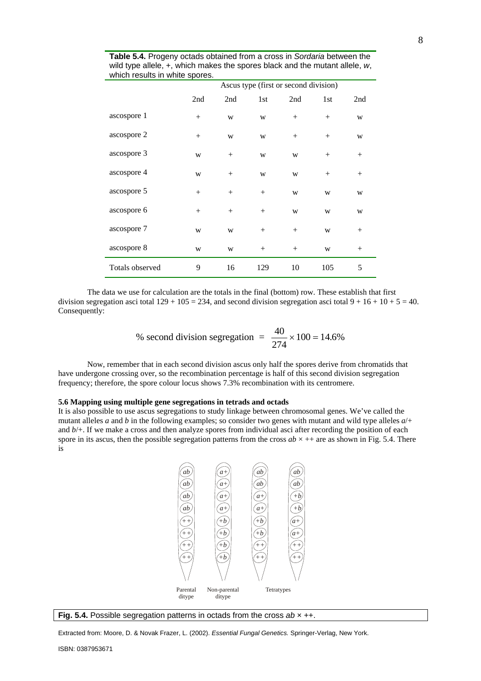| WITCH TESUITS III WITCH SPUIES. |        |                                       |        |        |        |        |  |
|---------------------------------|--------|---------------------------------------|--------|--------|--------|--------|--|
|                                 |        | Ascus type (first or second division) |        |        |        |        |  |
|                                 | 2nd    | 2nd                                   | 1st    | 2nd    | 1st    | 2nd    |  |
| ascospore 1                     | $^{+}$ | W                                     | W      | $^{+}$ |        | W      |  |
| ascospore 2                     | $+$    | W                                     | W      |        |        | W      |  |
| ascospore 3                     | W      |                                       | W      | W      | $^{+}$ | $^{+}$ |  |
| ascospore 4                     | W      |                                       | W      | W      | $^{+}$ | $^{+}$ |  |
| ascospore 5                     | $^{+}$ |                                       | $^{+}$ | W      | W      | W      |  |
| ascospore 6                     | $^{+}$ |                                       | $^{+}$ | W      | W      | W      |  |
| ascospore 7                     | W      | W                                     |        | $^{+}$ | W      | $^{+}$ |  |
| ascospore 8                     | W      | W                                     |        | $^{+}$ | W      | $\! +$ |  |
| Totals observed                 | 9      | 16                                    | 129    | 10     | 105    | 5      |  |

**Table 5.4.** Progeny octads obtained from a cross in *Sordaria* between the wild type allele, +, which makes the spores black and the mutant allele, *w*, which results in white spores.

 The data we use for calculation are the totals in the final (bottom) row. These establish that first division segregation asci total  $129 + 105 = 234$ , and second division segregation asci total  $9 + 16 + 10 + 5 = 40$ . Consequently:

% second division segregation = 
$$
\frac{40}{274} \times 100 = 14.6\%
$$

 Now, remember that in each second division ascus only half the spores derive from chromatids that have undergone crossing over, so the recombination percentage is half of this second division segregation frequency; therefore, the spore colour locus shows 7.3% recombination with its centromere.

## **5.6 Mapping using multiple gene segregations in tetrads and octads**

It is also possible to use ascus segregations to study linkage between chromosomal genes. We've called the mutant alleles *a* and *b* in the following examples; so consider two genes with mutant and wild type alleles *a*/+ and  $b$ /+. If we make a cross and then analyze spores from individual asci after recording the position of each spore in its ascus, then the possible segregation patterns from the cross  $ab \times ++$  are as shown in Fig. 5.4. There is



## **Fig. 5.4.** Possible segregation patterns in octads from the cross  $ab \times +$ .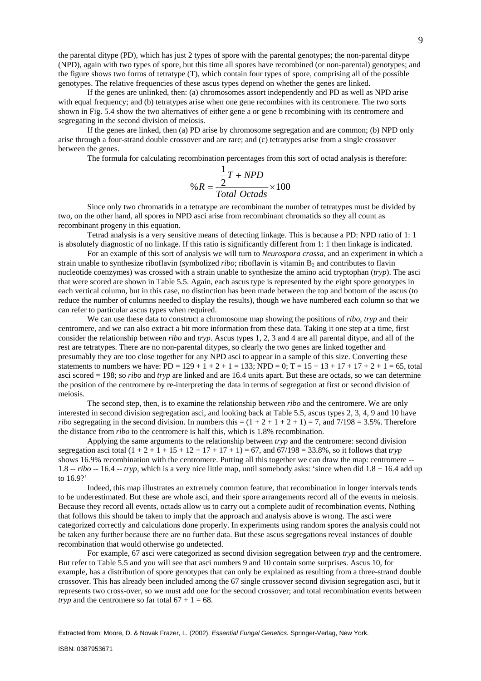the parental ditype (PD), which has just 2 types of spore with the parental genotypes; the non-parental ditype (NPD), again with two types of spore, but this time all spores have recombined (or non-parental) genotypes; and the figure shows two forms of tetratype (T), which contain four types of spore, comprising all of the possible genotypes. The relative frequencies of these ascus types depend on whether the genes are linked.

 If the genes are unlinked, then: (a) chromosomes assort independently and PD as well as NPD arise with equal frequency; and (b) tetratypes arise when one gene recombines with its centromere. The two sorts shown in Fig. 5.4 show the two alternatives of either gene a or gene b recombining with its centromere and segregating in the second division of meiosis.

 If the genes are linked, then (a) PD arise by chromosome segregation and are common; (b) NPD only arise through a four-strand double crossover and are rare; and (c) tetratypes arise from a single crossover between the genes.

The formula for calculating recombination percentages from this sort of octad analysis is therefore:

$$
\%R = \frac{\frac{1}{2}T + NPD}{Total Octads} \times 100
$$

 Since only two chromatids in a tetratype are recombinant the number of tetratypes must be divided by two, on the other hand, all spores in NPD asci arise from recombinant chromatids so they all count as recombinant progeny in this equation.

 Tetrad analysis is a very sensitive means of detecting linkage. This is because a PD: NPD ratio of 1: 1 is absolutely diagnostic of no linkage. If this ratio is significantly different from 1: 1 then linkage is indicated.

 For an example of this sort of analysis we will turn to *Neurospora crassa*, and an experiment in which a strain unable to synthesize riboflavin (symbolized *ribo*; riboflavin is vitamin B<sub>2</sub> and contributes to flavin nucleotide coenzymes) was crossed with a strain unable to synthesize the amino acid tryptophan (*tryp*). The asci that were scored are shown in Table 5.5. Again, each ascus type is represented by the eight spore genotypes in each vertical column, but in this case, no distinction has been made between the top and bottom of the ascus (to reduce the number of columns needed to display the results), though we have numbered each column so that we can refer to particular ascus types when required.

 We can use these data to construct a chromosome map showing the positions of *ribo*, *tryp* and their centromere, and we can also extract a bit more information from these data. Taking it one step at a time, first consider the relationship between *ribo* and *tryp*. Ascus types 1, 2, 3 and 4 are all parental ditype, and all of the rest are tetratypes. There are no non-parental ditypes, so clearly the two genes are linked together and presumably they are too close together for any NPD asci to appear in a sample of this size. Converting these statements to numbers we have:  $PD = 129 + 1 + 2 + 1 = 133$ ;  $NPD = 0$ ;  $T = 15 + 13 + 17 + 17 + 2 + 1 = 65$ , total asci scored = 198; so *ribo* and *tryp* are linked and are 16.4 units apart. But these are octads, so we can determine the position of the centromere by re-interpreting the data in terms of segregation at first or second division of meiosis.

 The second step, then, is to examine the relationship between *ribo* and the centromere. We are only interested in second division segregation asci, and looking back at Table 5.5, ascus types 2, 3, 4, 9 and 10 have *ribo* segregating in the second division. In numbers this  $=(1 + 2 + 1 + 2 + 1) = 7$ , and  $7/198 = 3.5\%$ . Therefore the distance from *ribo* to the centromere is half this, which is 1.8% recombination.

 Applying the same arguments to the relationship between *tryp* and the centromere: second division segregation asci total  $(1 + 2 + 1 + 15 + 12 + 17 + 17 + 1) = 67$ , and  $67/198 = 33.8\%$ , so it follows that *tryp* shows 16.9% recombination with the centromere. Putting all this together we can draw the map: centromere -- 1.8 -- *ribo* -- 16.4 -- *tryp*, which is a very nice little map, until somebody asks: 'since when did 1.8 + 16.4 add up to 16.9?'

 Indeed, this map illustrates an extremely common feature, that recombination in longer intervals tends to be underestimated. But these are whole asci, and their spore arrangements record all of the events in meiosis. Because they record all events, octads allow us to carry out a complete audit of recombination events. Nothing that follows this should be taken to imply that the approach and analysis above is wrong. The asci were categorized correctly and calculations done properly. In experiments using random spores the analysis could not be taken any further because there are no further data. But these ascus segregations reveal instances of double recombination that would otherwise go undetected.

 For example, 67 asci were categorized as second division segregation between *tryp* and the centromere. But refer to Table 5.5 and you will see that asci numbers 9 and 10 contain some surprises. Ascus 10, for example, has a distribution of spore genotypes that can only be explained as resulting from a three-strand double crossover. This has already been included among the 67 single crossover second division segregation asci, but it represents two cross-over, so we must add one for the second crossover; and total recombination events between *tryp* and the centromere so far total  $67 + 1 = 68$ .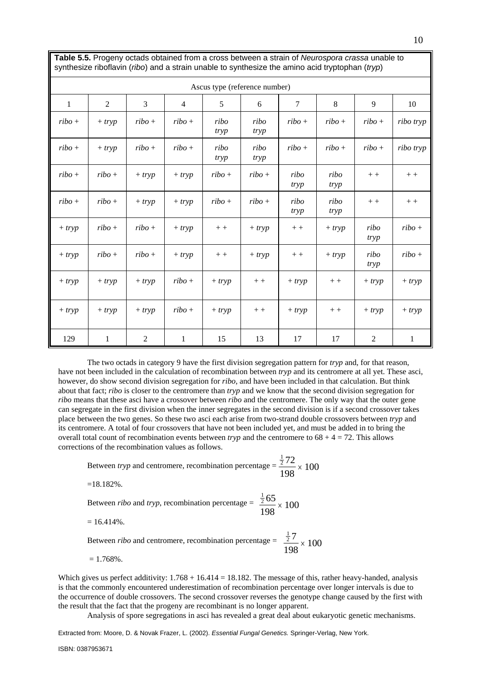**Table 5.5.** Progeny octads obtained from a cross between a strain of *Neurospora crassa* unable to synthesize riboflavin (*ribo*) and a strain unable to synthesize the amino acid tryptophan (*tryp*)

| Ascus type (reference number) |                |          |                |              |              |              |              |                |           |
|-------------------------------|----------------|----------|----------------|--------------|--------------|--------------|--------------|----------------|-----------|
| $\mathbf{1}$                  | $\overline{2}$ | 3        | $\overline{4}$ | 5            | 6            | $\tau$       | 8            | 9              | 10        |
| $ribo +$                      | $+$ tryp       | $ribo +$ | $ribo +$       | ribo<br>tryp | ribo<br>tryp | $ribo +$     | $ribo +$     | $ribo +$       | ribo tryp |
| $ribo +$                      | $+$ tryp       | $ribo +$ | $ribo +$       | ribo<br>tryp | ribo<br>tryp | $ribo +$     | $ribo +$     | $ribo +$       | ribo tryp |
| $ribo +$                      | $ribo +$       | $+$ tryp | $+$ tryp       | $ribo +$     | $ribo +$     | ribo<br>tryp | ribo<br>tryp | $+ +$          | $++$      |
| $ribo +$                      | $ribo +$       | $+$ tryp | $+ tryp$       | $ribo +$     | $ribo +$     | ribo<br>tryp | ribo<br>tryp | $+ +$          | $++$      |
| $+ tryp$                      | $ribo +$       | $ribo +$ | $+ tryp$       | $++$         | $+$ tryp     | $++$         | $+$ tryp     | ribo<br>tryp   | $ribo +$  |
| $+$ tryp                      | $ribo +$       | $ribo +$ | $+$ tryp       | $++$         | $+ tryp$     | $+ +$        | $+ tryp$     | ribo<br>tryp   | $ribo +$  |
| $+ tryp$                      | $+ tryp$       | $+$ tryp | $ribo +$       | $+$ tryp     | $+ +$        | $+ tryp$     | $++$         | $+ tryp$       | $+$ tryp  |
| $+ tryp$                      | $+ tryp$       | $+$ tryp | $ribo +$       | $+ tryp$     | $++$         | $+ tryp$     | $+ +$        | $+$ tryp       | $+$ tryp  |
| 129                           | $\mathbf{1}$   | 2        | 1              | 15           | 13           | 17           | 17           | $\overline{2}$ | 1         |

 The two octads in category 9 have the first division segregation pattern for *tryp* and, for that reason, have not been included in the calculation of recombination between *tryp* and its centromere at all yet. These asci, however, do show second division segregation for *ribo*, and have been included in that calculation. But think about that fact; *ribo* is closer to the centromere than *tryp* and we know that the second division segregation for *ribo* means that these asci have a crossover between *ribo* and the centromere. The only way that the outer gene can segregate in the first division when the inner segregates in the second division is if a second crossover takes place between the two genes. So these two asci each arise from two-strand double crossovers between *tryp* and its centromere. A total of four crossovers that have not been included yet, and must be added in to bring the overall total count of recombination events between *tryp* and the centromere to  $68 + 4 = 72$ . This allows corrections of the recombination values as follows.

Between *tryp* and centromere, recombination percentage = 
$$
\frac{\frac{1}{2}72}{198} \times 100
$$

 $=18.182\%$ .

 Between *ribo* and *tryp*, recombination percentage =  $\frac{1}{2}$  65 198 × 100

 $= 16.414\%$ .

Between *ribo* and centromere, recombination percentage =  $\frac{1}{2}$ 7  $= 1.768\%$ . 198 × 100

Which gives us perfect additivity:  $1.768 + 16.414 = 18.182$ . The message of this, rather heavy-handed, analysis is that the commonly encountered underestimation of recombination percentage over longer intervals is due to the occurrence of double crossovers. The second crossover reverses the genotype change caused by the first with the result that the fact that the progeny are recombinant is no longer apparent.

Analysis of spore segregations in asci has revealed a great deal about eukaryotic genetic mechanisms.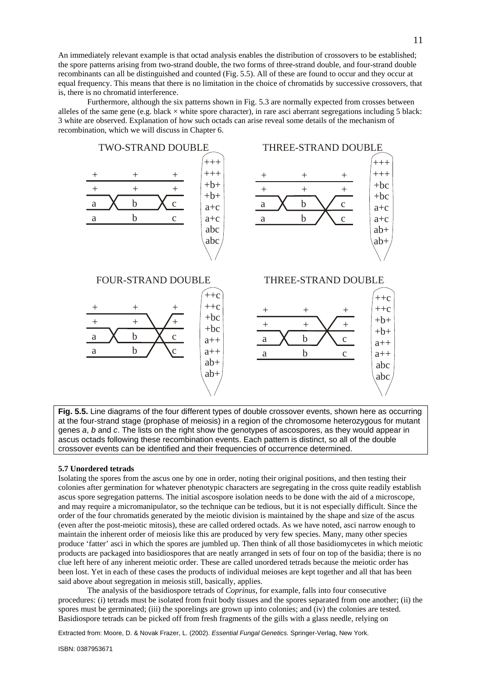An immediately relevant example is that octad analysis enables the distribution of crossovers to be established; the spore patterns arising from two-strand double, the two forms of three-strand double, and four-strand double recombinants can all be distinguished and counted (Fig. 5.5). All of these are found to occur and they occur at equal frequency. This means that there is no limitation in the choice of chromatids by successive crossovers, that is, there is no chromatid interference.

11

 Furthermore, although the six patterns shown in Fig. 5.3 are normally expected from crosses between alleles of the same gene (e.g. black  $\times$  white spore character), in rare asci aberrant segregations including 5 black: 3 white are observed. Explanation of how such octads can arise reveal some details of the mechanism of recombination, which we will discuss in Chapter 6.



**Fig. 5.5.** Line diagrams of the four different types of double crossover events, shown here as occurring at the four-strand stage (prophase of meiosis) in a region of the chromosome heterozygous for mutant genes *a*, *b* and *c*. The lists on the right show the genotypes of ascospores, as they would appear in ascus octads following these recombination events. Each pattern is distinct, so all of the double crossover events can be identified and their frequencies of occurrence determined.

#### **5.7 Unordered tetrads**

Isolating the spores from the ascus one by one in order, noting their original positions, and then testing their colonies after germination for whatever phenotypic characters are segregating in the cross quite readily establish ascus spore segregation patterns. The initial ascospore isolation needs to be done with the aid of a microscope, and may require a micromanipulator, so the technique can be tedious, but it is not especially difficult. Since the order of the four chromatids generated by the meiotic division is maintained by the shape and size of the ascus (even after the post-meiotic mitosis), these are called ordered octads. As we have noted, asci narrow enough to maintain the inherent order of meiosis like this are produced by very few species. Many, many other species produce 'fatter' asci in which the spores are jumbled up. Then think of all those basidiomycetes in which meiotic products are packaged into basidiospores that are neatly arranged in sets of four on top of the basidia; there is no clue left here of any inherent meiotic order. These are called unordered tetrads because the meiotic order has been lost. Yet in each of these cases the products of individual meioses are kept together and all that has been said above about segregation in meiosis still, basically, applies.

 The analysis of the basidiospore tetrads of *Coprinus*, for example, falls into four consecutive procedures: (i) tetrads must be isolated from fruit body tissues and the spores separated from one another; (ii) the spores must be germinated; (iii) the sporelings are grown up into colonies; and (iv) the colonies are tested. Basidiospore tetrads can be picked off from fresh fragments of the gills with a glass needle, relying on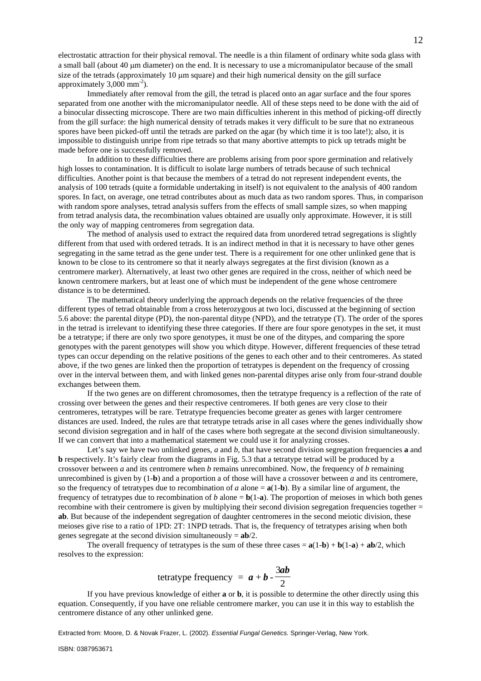electrostatic attraction for their physical removal. The needle is a thin filament of ordinary white soda glass with a small ball (about 40 µm diameter) on the end. It is necessary to use a micromanipulator because of the small size of the tetrads (approximately 10 µm square) and their high numerical density on the gill surface approximately  $3,000$  mm<sup>-2</sup>).

 Immediately after removal from the gill, the tetrad is placed onto an agar surface and the four spores separated from one another with the micromanipulator needle. All of these steps need to be done with the aid of a binocular dissecting microscope. There are two main difficulties inherent in this method of picking-off directly from the gill surface: the high numerical density of tetrads makes it very difficult to be sure that no extraneous spores have been picked-off until the tetrads are parked on the agar (by which time it is too late!); also, it is impossible to distinguish unripe from ripe tetrads so that many abortive attempts to pick up tetrads might be made before one is successfully removed.

 In addition to these difficulties there are problems arising from poor spore germination and relatively high losses to contamination. It is difficult to isolate large numbers of tetrads because of such technical difficulties. Another point is that because the members of a tetrad do not represent independent events, the analysis of 100 tetrads (quite a formidable undertaking in itself) is not equivalent to the analysis of 400 random spores. In fact, on average, one tetrad contributes about as much data as two random spores. Thus, in comparison with random spore analyses, tetrad analysis suffers from the effects of small sample sizes, so when mapping from tetrad analysis data, the recombination values obtained are usually only approximate. However, it is still the only way of mapping centromeres from segregation data.

 The method of analysis used to extract the required data from unordered tetrad segregations is slightly different from that used with ordered tetrads. It is an indirect method in that it is necessary to have other genes segregating in the same tetrad as the gene under test. There is a requirement for one other unlinked gene that is known to be close to its centromere so that it nearly always segregates at the first division (known as a centromere marker). Alternatively, at least two other genes are required in the cross, neither of which need be known centromere markers, but at least one of which must be independent of the gene whose centromere distance is to be determined.

 The mathematical theory underlying the approach depends on the relative frequencies of the three different types of tetrad obtainable from a cross heterozygous at two loci, discussed at the beginning of section 5.6 above: the parental ditype (PD), the non-parental ditype (NPD), and the tetratype (T). The order of the spores in the tetrad is irrelevant to identifying these three categories. If there are four spore genotypes in the set, it must be a tetratype; if there are only two spore genotypes, it must be one of the ditypes, and comparing the spore genotypes with the parent genotypes will show you which ditype. However, different frequencies of these tetrad types can occur depending on the relative positions of the genes to each other and to their centromeres. As stated above, if the two genes are linked then the proportion of tetratypes is dependent on the frequency of crossing over in the interval between them, and with linked genes non-parental ditypes arise only from four-strand double exchanges between them.

 If the two genes are on different chromosomes, then the tetratype frequency is a reflection of the rate of crossing over between the genes and their respective centromeres. If both genes are very close to their centromeres, tetratypes will be rare. Tetratype frequencies become greater as genes with larger centromere distances are used. Indeed, the rules are that tetratype tetrads arise in all cases where the genes individually show second division segregation and in half of the cases where both segregate at the second division simultaneously. If we can convert that into a mathematical statement we could use it for analyzing crosses.

 Let's say we have two unlinked genes, *a* and *b*, that have second division segregation frequencies **a** and **b** respectively. It's fairly clear from the diagrams in Fig. 5.3 that a tetratype tetrad will be produced by a crossover between *a* and its centromere when *b* remains unrecombined. Now, the frequency of *b* remaining unrecombined is given by (1-**b**) and a proportion a of those will have a crossover between *a* and its centromere, so the frequency of tetratypes due to recombination of *a* alone  $= a(1-b)$ . By a similar line of argument, the frequency of tetratypes due to recombination of  $b$  alone  $= b(1-a)$ . The proportion of meioses in which both genes recombine with their centromere is given by multiplying their second division segregation frequencies together = **ab**. But because of the independent segregation of daughter centromeres in the second meiotic division, these meioses give rise to a ratio of 1PD: 2T: 1NPD tetrads. That is, the frequency of tetratypes arising when both genes segregate at the second division simultaneously  $= ab/2$ .

The overall frequency of tetratypes is the sum of these three cases  $= a(1-b) + b(1-a) + ab/2$ , which resolves to the expression:

tetratype frequency = 
$$
\mathbf{a} + \mathbf{b} - \frac{3\mathbf{a}\mathbf{b}}{2}
$$

 If you have previous knowledge of either **a** or **b**, it is possible to determine the other directly using this equation. Consequently, if you have one reliable centromere marker, you can use it in this way to establish the centromere distance of any other unlinked gene.

Extracted from: Moore, D. & Novak Frazer, L. (2002). *Essential Fungal Genetics.* Springer-Verlag, New York.

ISBN: 0387953671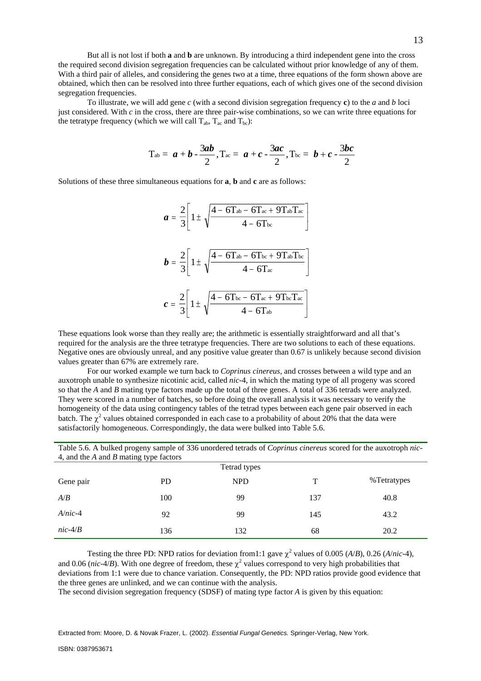But all is not lost if both **a** and **b** are unknown. By introducing a third independent gene into the cross the required second division segregation frequencies can be calculated without prior knowledge of any of them. With a third pair of alleles, and considering the genes two at a time, three equations of the form shown above are obtained, which then can be resolved into three further equations, each of which gives one of the second division segregation frequencies.

 To illustrate, we will add gene *c* (with a second division segregation frequency **c**) to the *a* and *b* loci just considered. With *c* in the cross, there are three pair-wise combinations, so we can write three equations for the tetratype frequency (which we will call  $T_{ab}$ ,  $T_{ac}$  and  $T_{bc}$ ):

$$
T_{ab} = a + b - \frac{3ab}{2}, T_{ac} = a + c - \frac{3ac}{2}, T_{bc} = b + c - \frac{3bc}{2}
$$

Solutions of these three simultaneous equations for **a**, **b** and **c** are as follows:

$$
a = \frac{2}{3} \left[ 1 \pm \sqrt{\frac{4 - 6T_{ab} - 6T_{ac} + 9T_{ab}T_{ac}}{4 - 6T_{bc}}} \right]
$$
  

$$
b = \frac{2}{3} \left[ 1 \pm \sqrt{\frac{4 - 6T_{ab} - 6T_{bc} + 9T_{ab}T_{bc}}{4 - 6T_{ac}}} \right]
$$
  

$$
c = \frac{2}{3} \left[ 1 \pm \sqrt{\frac{4 - 6T_{bc} - 6T_{ac} + 9T_{bc}T_{ac}}{4 - 6T_{ab}}} \right]
$$

These equations look worse than they really are; the arithmetic is essentially straightforward and all that's required for the analysis are the three tetratype frequencies. There are two solutions to each of these equations. Negative ones are obviously unreal, and any positive value greater than 0.67 is unlikely because second division values greater than 67% are extremely rare.

 For our worked example we turn back to *Coprinus cinereus*, and crosses between a wild type and an auxotroph unable to synthesize nicotinic acid, called *nic*-4, in which the mating type of all progeny was scored so that the *A* and *B* mating type factors made up the total of three genes. A total of 336 tetrads were analyzed. They were scored in a number of batches, so before doing the overall analysis it was necessary to verify the homogeneity of the data using contingency tables of the tetrad types between each gene pair observed in each batch. The  $\chi^2$  values obtained corresponded in each case to a probability of about 20% that the data were satisfactorily homogeneous. Correspondingly, the data were bulked into Table 5.6.

Table 5.6. A bulked progeny sample of 336 unordered tetrads of *Coprinus cinereus* scored for the auxotroph *nic*-4, and the *A* and *B* mating type factors Tetrad types Gene pair **PD** PD NPD T <sup>%</sup>Tetratypes

| Gene pair | ۲D  | NPD. |     | % retratypes |
|-----------|-----|------|-----|--------------|
| A/B       | 100 | 99   | 137 | 40.8         |
| $A/nic-4$ | 92  | 99   | 145 | 43.2         |
| $nic-4/B$ | 136 | 132  | 68  | 20.2         |

Testing the three PD: NPD ratios for deviation from1:1 gave  $\chi^2$  values of 0.005 (*A*/*B*), 0.26 (*A/nic-4*), and 0.06 (*nic*-4/*B*). With one degree of freedom, these  $\chi^2$  values correspond to very high probabilities that deviations from 1:1 were due to chance variation. Consequently, the PD: NPD ratios provide good evidence that the three genes are unlinked, and we can continue with the analysis.

The second division segregation frequency (SDSF) of mating type factor *A* is given by this equation: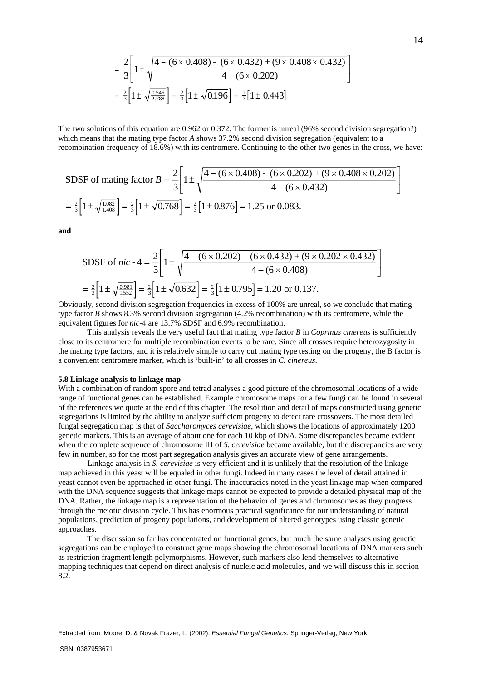$$
= \frac{2}{3} \left[ 1 \pm \sqrt{\frac{4 - (6 \times 0.408) - (6 \times 0.432) + (9 \times 0.408 \times 0.432)}{4 - (6 \times 0.202)}} \right]
$$
  
=  $\frac{2}{3} \left[ 1 \pm \sqrt{\frac{0.546}{2.788}} \right] = \frac{2}{3} \left[ 1 \pm \sqrt{0.196} \right] = \frac{2}{3} \left[ 1 \pm 0.443 \right]$ 

The two solutions of this equation are 0.962 or 0.372. The former is unreal (96% second division segregation?) which means that the mating type factor *A* shows 37.2% second division segregation (equivalent to a recombination frequency of 18.6%) with its centromere. Continuing to the other two genes in the cross, we have:

$$
\text{SDSF of mating factor } B = \frac{2}{3} \left[ 1 \pm \sqrt{\frac{4 - (6 \times 0.408) - (6 \times 0.202) + (9 \times 0.408 \times 0.202)}{4 - (6 \times 0.432)}} \right]
$$
\n
$$
= \frac{2}{3} \left[ 1 \pm \sqrt{\frac{1.082}{1.408}} \right] = \frac{2}{3} \left[ 1 \pm \sqrt{0.768} \right] = \frac{2}{3} \left[ 1 \pm 0.876 \right] = 1.25 \text{ or } 0.083.
$$

**and** 

$$
\text{SDSF of } \text{nic-4} = \frac{2}{3} \left[ 1 \pm \sqrt{\frac{4 - (6 \times 0.202) - (6 \times 0.432) + (9 \times 0.202 \times 0.432)}{4 - (6 \times 0.408)}} \right]
$$
\n
$$
= \frac{2}{3} \left[ 1 \pm \sqrt{\frac{0.981}{1.552}} \right] = \frac{2}{3} \left[ 1 \pm \sqrt{0.632} \right] = \frac{2}{3} \left[ 1 \pm 0.795 \right] = 1.20 \text{ or } 0.137.
$$

Obviously, second division segregation frequencies in excess of 100% are unreal, so we conclude that mating type factor *B* shows 8.3% second division segregation (4.2% recombination) with its centromere, while the equivalent figures for *nic*-4 are 13.7% SDSF and 6.9% recombination.

 This analysis reveals the very useful fact that mating type factor *B* in *Coprinus cinereus* is sufficiently close to its centromere for multiple recombination events to be rare. Since all crosses require heterozygosity in the mating type factors, and it is relatively simple to carry out mating type testing on the progeny, the B factor is a convenient centromere marker, which is 'built-in' to all crosses in *C. cinereus*.

## **5.8 Linkage analysis to linkage map**

With a combination of random spore and tetrad analyses a good picture of the chromosomal locations of a wide range of functional genes can be established. Example chromosome maps for a few fungi can be found in several of the references we quote at the end of this chapter. The resolution and detail of maps constructed using genetic segregations is limited by the ability to analyze sufficient progeny to detect rare crossovers. The most detailed fungal segregation map is that of *Saccharomyces cerevisiae*, which shows the locations of approximately 1200 genetic markers. This is an average of about one for each 10 kbp of DNA. Some discrepancies became evident when the complete sequence of chromosome III of *S. cerevisiae* became available, but the discrepancies are very few in number, so for the most part segregation analysis gives an accurate view of gene arrangements.

 Linkage analysis in *S. cerevisiae* is very efficient and it is unlikely that the resolution of the linkage map achieved in this yeast will be equaled in other fungi. Indeed in many cases the level of detail attained in yeast cannot even be approached in other fungi. The inaccuracies noted in the yeast linkage map when compared with the DNA sequence suggests that linkage maps cannot be expected to provide a detailed physical map of the DNA. Rather, the linkage map is a representation of the behavior of genes and chromosomes as they progress through the meiotic division cycle. This has enormous practical significance for our understanding of natural populations, prediction of progeny populations, and development of altered genotypes using classic genetic approaches.

 The discussion so far has concentrated on functional genes, but much the same analyses using genetic segregations can be employed to construct gene maps showing the chromosomal locations of DNA markers such as restriction fragment length polymorphisms. However, such markers also lend themselves to alternative mapping techniques that depend on direct analysis of nucleic acid molecules, and we will discuss this in section 8.2.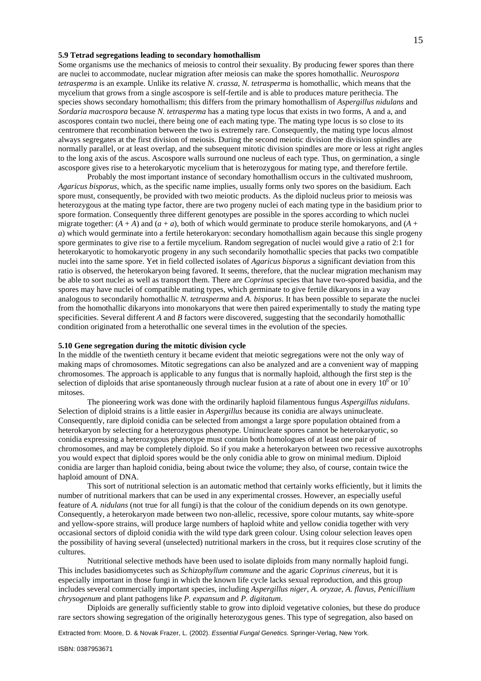### **5.9 Tetrad segregations leading to secondary homothallism**

Some organisms use the mechanics of meiosis to control their sexuality. By producing fewer spores than there are nuclei to accommodate, nuclear migration after meiosis can make the spores homothallic. *Neurospora tetrasperma* is an example. Unlike its relative *N. crassa*, *N. tetrasperma* is homothallic, which means that the mycelium that grows from a single ascospore is self-fertile and is able to produces mature perithecia. The species shows secondary homothallism; this differs from the primary homothallism of *Aspergillus nidulans* and *Sordaria macrospora* because *N. tetrasperma* has a mating type locus that exists in two forms, A and a, and ascospores contain two nuclei, there being one of each mating type. The mating type locus is so close to its centromere that recombination between the two is extremely rare. Consequently, the mating type locus almost always segregates at the first division of meiosis. During the second meiotic division the division spindles are normally parallel, or at least overlap, and the subsequent mitotic division spindles are more or less at right angles to the long axis of the ascus. Ascospore walls surround one nucleus of each type. Thus, on germination, a single ascospore gives rise to a heterokaryotic mycelium that is heterozygous for mating type, and therefore fertile.

 Probably the most important instance of secondary homothallism occurs in the cultivated mushroom, *Agaricus bisporus*, which, as the specific name implies, usually forms only two spores on the basidium. Each spore must, consequently, be provided with two meiotic products. As the diploid nucleus prior to meiosis was heterozygous at the mating type factor, there are two progeny nuclei of each mating type in the basidium prior to spore formation. Consequently three different genotypes are possible in the spores according to which nuclei migrate together:  $(A + A)$  and  $(a + a)$ , both of which would germinate to produce sterile homokaryons, and  $(A + a)$ *a*) which would germinate into a fertile heterokaryon: secondary homothallism again because this single progeny spore germinates to give rise to a fertile mycelium. Random segregation of nuclei would give a ratio of 2:1 for heterokaryotic to homokaryotic progeny in any such secondarily homothallic species that packs two compatible nuclei into the same spore. Yet in field collected isolates of *Agaricus bisporus* a significant deviation from this ratio is observed, the heterokaryon being favored. It seems, therefore, that the nuclear migration mechanism may be able to sort nuclei as well as transport them. There are *Coprinus* species that have two-spored basidia, and the spores may have nuclei of compatible mating types, which germinate to give fertile dikaryons in a way analogous to secondarily homothallic *N. tetrasperma* and *A. bisporus*. It has been possible to separate the nuclei from the homothallic dikaryons into monokaryons that were then paired experimentally to study the mating type specificities. Several different *A* and *B* factors were discovered, suggesting that the secondarily homothallic condition originated from a heterothallic one several times in the evolution of the species.

## **5.10 Gene segregation during the mitotic division cycle**

In the middle of the twentieth century it became evident that meiotic segregations were not the only way of making maps of chromosomes. Mitotic segregations can also be analyzed and are a convenient way of mapping chromosomes. The approach is applicable to any fungus that is normally haploid, although the first step is the selection of diploids that arise spontaneously through nuclear fusion at a rate of about one in every  $10^6$  or  $10^7$ mitoses.

 The pioneering work was done with the ordinarily haploid filamentous fungus *Aspergillus nidulans*. Selection of diploid strains is a little easier in *Aspergillus* because its conidia are always uninucleate. Consequently, rare diploid conidia can be selected from amongst a large spore population obtained from a heterokaryon by selecting for a heterozygous phenotype. Uninucleate spores cannot be heterokaryotic, so conidia expressing a heterozygous phenotype must contain both homologues of at least one pair of chromosomes, and may be completely diploid. So if you make a heterokaryon between two recessive auxotrophs you would expect that diploid spores would be the only conidia able to grow on minimal medium. Diploid conidia are larger than haploid conidia, being about twice the volume; they also, of course, contain twice the haploid amount of DNA.

 This sort of nutritional selection is an automatic method that certainly works efficiently, but it limits the number of nutritional markers that can be used in any experimental crosses. However, an especially useful feature of *A. nidulans* (not true for all fungi) is that the colour of the conidium depends on its own genotype. Consequently, a heterokaryon made between two non-allelic, recessive, spore colour mutants, say white-spore and yellow-spore strains, will produce large numbers of haploid white and yellow conidia together with very occasional sectors of diploid conidia with the wild type dark green colour. Using colour selection leaves open the possibility of having several (unselected) nutritional markers in the cross, but it requires close scrutiny of the cultures.

 Nutritional selective methods have been used to isolate diploids from many normally haploid fungi. This includes basidiomycetes such as *Schizophyllum commune* and the agaric *Coprinus cinereus*, but it is especially important in those fungi in which the known life cycle lacks sexual reproduction, and this group includes several commercially important species, including *Aspergillus niger*, *A. oryzae*, *A. flavus*, *Penicillium chrysogenum* and plant pathogens like *P. expansum* and *P. digitatum*.

 Diploids are generally sufficiently stable to grow into diploid vegetative colonies, but these do produce rare sectors showing segregation of the originally heterozygous genes. This type of segregation, also based on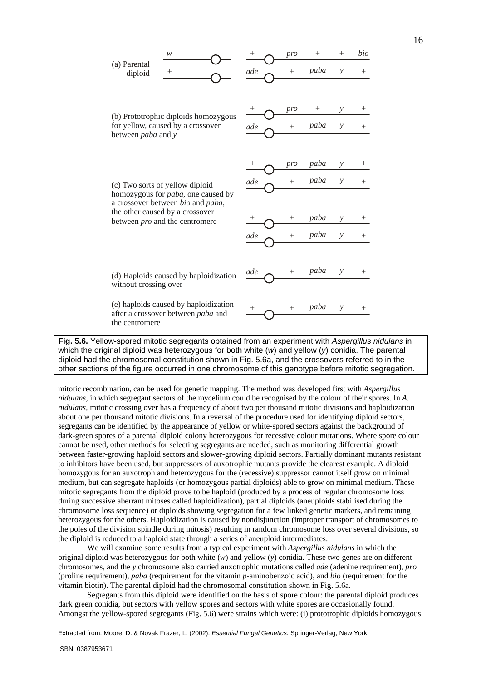

**Fig. 5.6.** Yellow-spored mitotic segregants obtained from an experiment with *Aspergillus nidulans* in which the original diploid was heterozygous for both white (*w*) and yellow (*y*) conidia. The parental diploid had the chromosomal constitution shown in Fig. 5.6a, and the crossovers referred to in the other sections of the figure occurred in one chromosome of this genotype before mitotic segregation.

mitotic recombination, can be used for genetic mapping. The method was developed first with *Aspergillus nidulans*, in which segregant sectors of the mycelium could be recognised by the colour of their spores. In *A. nidulans*, mitotic crossing over has a frequency of about two per thousand mitotic divisions and haploidization about one per thousand mitotic divisions. In a reversal of the procedure used for identifying diploid sectors, segregants can be identified by the appearance of yellow or white-spored sectors against the background of dark-green spores of a parental diploid colony heterozygous for recessive colour mutations. Where spore colour cannot be used, other methods for selecting segregants are needed, such as monitoring differential growth between faster-growing haploid sectors and slower-growing diploid sectors. Partially dominant mutants resistant to inhibitors have been used, but suppressors of auxotrophic mutants provide the clearest example. A diploid homozygous for an auxotroph and heterozygous for the (recessive) suppressor cannot itself grow on minimal medium, but can segregate haploids (or homozygous partial diploids) able to grow on minimal medium. These mitotic segregants from the diploid prove to be haploid (produced by a process of regular chromosome loss during successive aberrant mitoses called haploidization), partial diploids (aneuploids stabilised during the chromosome loss sequence) or diploids showing segregation for a few linked genetic markers, and remaining heterozygous for the others. Haploidization is caused by nondisjunction (improper transport of chromosomes to the poles of the division spindle during mitosis) resulting in random chromosome loss over several divisions, so the diploid is reduced to a haploid state through a series of aneuploid intermediates.

 We will examine some results from a typical experiment with *Aspergillus nidulans* in which the original diploid was heterozygous for both white (*w*) and yellow (*y*) conidia. These two genes are on different chromosomes, and the *y* chromosome also carried auxotrophic mutations called *ade* (adenine requirement), *pro* (proline requirement), *paba* (requirement for the vitamin *p*-aminobenzoic acid), and *bio* (requirement for the vitamin biotin). The parental diploid had the chromosomal constitution shown in Fig. 5.6a.

 Segregants from this diploid were identified on the basis of spore colour: the parental diploid produces dark green conidia, but sectors with yellow spores and sectors with white spores are occasionally found. Amongst the yellow-spored segregants (Fig. 5.6) were strains which were: (i) prototrophic diploids homozygous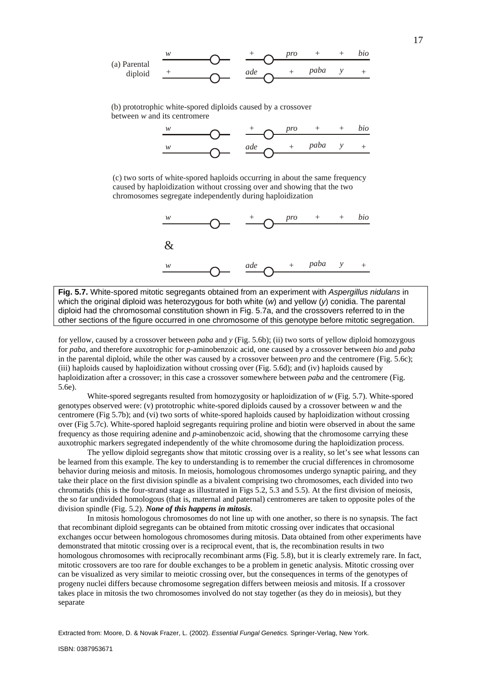

(b) prototrophic white-spored diploids caused by a crossover between *w* and its centromere



(c) two sorts of white-spored haploids occurring i n about the same frequency caused by haploidization without crossing over and showing that the two chromosomes segregate independently during haploidization



**Fig. 5.7.** White-spored mitotic segregants obtained from an experiment with *Aspergillus nidulans* in which the original diploid was heterozygous for both white (*w*) and yellow (*y*) conidia. The parental diploid had the chromosomal constitution shown in Fig. 5.7a, and the crossovers referred to in the other sections of the figure occurred in one chromosome of this genotype before mitotic segregation.

for yellow, caused by a crossover between *paba* and *y* (Fig. 5.6b); (ii) two sorts of yellow diploid homozygous for *paba*, and therefore auxotrophic for *p*-aminobenzoic acid, one caused by a crossover between *bio* and *paba* in the parental diploid, while the other was caused by a crossover between *pro* and the centromere (Fig. 5.6c); (iii) haploids caused by haploidization without crossing over (Fig. 5.6d); and (iv) haploids caused by haploidization after a crossover; in this case a crossover somewhere between *paba* and the centromere (Fig. 5.6e).

 White-spored segregants resulted from homozygosity or haploidization of *w* (Fig. 5.7). White-spored genotypes observed were: (v) prototrophic white-spored diploids caused by a crossover between *w* and the centromere (Fig 5.7b); and (vi) two sorts of white-spored haploids caused by haploidization without crossing over (Fig 5.7c). White-spored haploid segregants requiring proline and biotin were observed in about the same frequency as those requiring adenine and *p*-aminobenzoic acid, showing that the chromosome carrying these auxotrophic markers segregated independently of the white chromosome during the haploidization process.

 The yellow diploid segregants show that mitotic crossing over is a reality, so let's see what lessons can be learned from this example. The key to understanding is to remember the crucial differences in chromosome behavior during meiosis and mitosis. In meiosis, homologous chromosomes undergo synaptic pairing, and they take their place on the first division spindle as a bivalent comprising two chromosomes, each divided into two chromatids (this is the four-strand stage as illustrated in Figs 5.2, 5.3 and 5.5). At the first division of meiosis, the so far undivided homologous (that is, maternal and paternal) centromeres are taken to opposite poles of the division spindle (Fig. 5.2). *None of this happens in mitosis*.

 In mitosis homologous chromosomes do not line up with one another, so there is no synapsis. The fact that recombinant diploid segregants can be obtained from mitotic crossing over indicates that occasional exchanges occur between homologous chromosomes during mitosis. Data obtained from other experiments have demonstrated that mitotic crossing over is a reciprocal event, that is, the recombination results in two homologous chromosomes with reciprocally recombinant arms (Fig. 5.8), but it is clearly extremely rare. In fact, mitotic crossovers are too rare for double exchanges to be a problem in genetic analysis. Mitotic crossing over can be visualized as very similar to meiotic crossing over, but the consequences in terms of the genotypes of progeny nuclei differs because chromosome segregation differs between meiosis and mitosis. If a crossover takes place in mitosis the two chromosomes involved do not stay together (as they do in meiosis), but they separate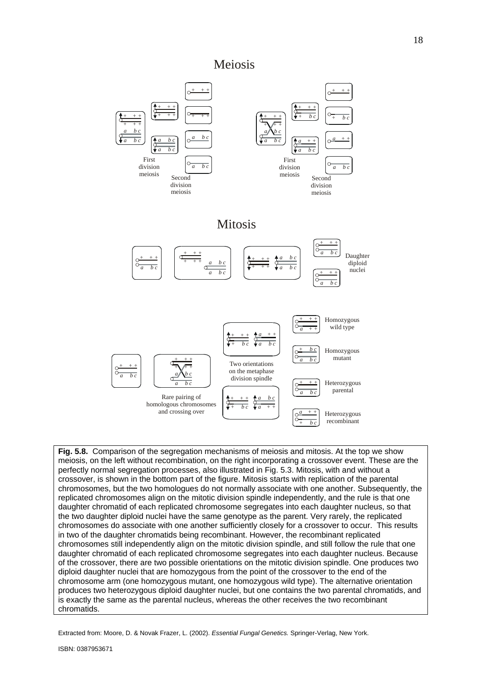## Meiosis



**Fig. 5.8.** Comparison of the segregation mechanisms of meiosis and mitosis. At the top we show meiosis, on the left without recombination, on the right incorporating a crossover event. These are the perfectly normal segregation processes, also illustrated in Fig. 5.3. Mitosis, with and without a crossover, is shown in the bottom part of the figure. Mitosis starts with replication of the parental chromosomes, but the two homologues do not normally associate with one another. Subsequently, the replicated chromosomes align on the mitotic division spindle independently, and the rule is that one daughter chromatid of each replicated chromosome segregates into each daughter nucleus, so that the two daughter diploid nuclei have the same genotype as the parent. Very rarely, the replicated chromosomes do associate with one another sufficiently closely for a crossover to occur. This results in two of the daughter chromatids being recombinant. However, the recombinant replicated chromosomes still independently align on the mitotic division spindle, and still follow the rule that one daughter chromatid of each replicated chromosome segregates into each daughter nucleus. Because of the crossover, there are two possible orientations on the mitotic division spindle. One produces two diploid daughter nuclei that are homozygous from the point of the crossover to the end of the chromosome arm (one homozygous mutant, one homozygous wild type). The alternative orientation produces two heterozygous diploid daughter nuclei, but one contains the two parental chromatids, and is exactly the same as the parental nucleus, whereas the other receives the two recombinant chromatids.

Extracted from: Moore, D. & Novak Frazer, L. (2002). *Essential Fungal Genetics.* Springer-Verlag, New York.

18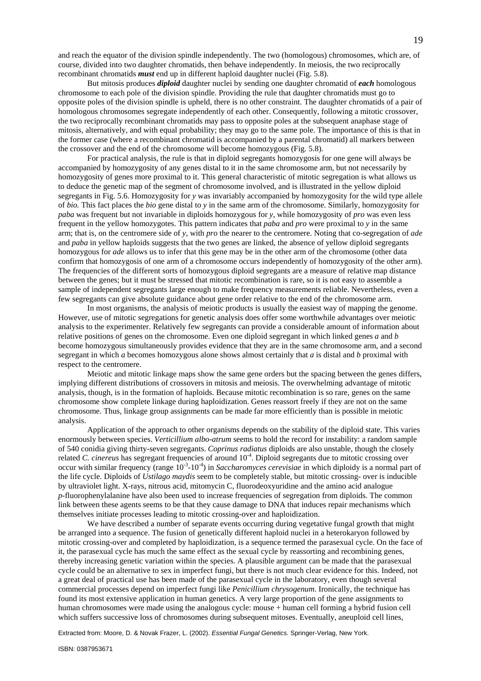and reach the equator of the division spindle independently. The two (homologous) chromosomes, which are, of course, divided into two daughter chromatids, then behave independently. In meiosis, the two reciprocally recombinant chromatids *must* end up in different haploid daughter nuclei (Fig. 5.8).

 But mitosis produces *diploid* daughter nuclei by sending one daughter chromatid of *each* homologous chromosome to each pole of the division spindle. Providing the rule that daughter chromatids must go to opposite poles of the division spindle is upheld, there is no other constraint. The daughter chromatids of a pair of homologous chromosomes segregate independently of each other. Consequently, following a mitotic crossover, the two reciprocally recombinant chromatids may pass to opposite poles at the subsequent anaphase stage of mitosis, alternatively, and with equal probability; they may go to the same pole. The importance of this is that in the former case (where a recombinant chromatid is accompanied by a parental chromatid) all markers between the crossover and the end of the chromosome will become homozygous (Fig. 5.8).

 For practical analysis, the rule is that in diploid segregants homozygosis for one gene will always be accompanied by homozygosity of any genes distal to it in the same chromosome arm, but not necessarily by homozygosity of genes more proximal to it. This general characteristic of mitotic segregation is what allows us to deduce the genetic map of the segment of chromosome involved, and is illustrated in the yellow diploid segregants in Fig. 5.6. Homozygosity for *y* was invariably accompanied by homozygosity for the wild type allele of *bio.* This fact places the *bio* gene distal to *y* in the same arm of the chromosome. Similarly, homozygosity for *paba* was frequent but not invariable in diploids homozygous for *y*, while homozygosity of *pro* was even less frequent in the yellow homozygotes. This pattern indicates that *paba* and *pro* were proximal to *y* in the same arm; that is, on the centromere side of *y*, with *pro* the nearer to the centromere. Noting that co-segregation of *ade*  and *paba* in yellow haploids suggests that the two genes are linked, the absence of yellow diploid segregants homozygous for *ade* allows us to infer that this gene may be in the other arm of the chromosome (other data confirm that homozygosis of one arm of a chromosome occurs independently of homozygosity of the other arm). The frequencies of the different sorts of homozygous diploid segregants are a measure of relative map distance between the genes; but it must be stressed that mitotic recombination is rare, so it is not easy to assemble a sample of independent segregants large enough to make frequency measurements reliable. Nevertheless, even a few segregants can give absolute guidance about gene order relative to the end of the chromosome arm.

 In most organisms, the analysis of meiotic products is usually the easiest way of mapping the genome. However, use of mitotic segregations for genetic analysis does offer some worthwhile advantages over meiotic analysis to the experimenter. Relatively few segregants can provide a considerable amount of information about relative positions of genes on the chromosome. Even one diploid segregant in which linked genes *a* and *b* become homozygous simultaneously provides evidence that they are in the same chromosome arm, and a second segregant in which *a* becomes homozygous alone shows almost certainly that *a* is distal and *b* proximal with respect to the centromere.

 Meiotic and mitotic linkage maps show the same gene orders but the spacing between the genes differs, implying different distributions of crossovers in mitosis and meiosis. The overwhelming advantage of mitotic analysis, though, is in the formation of haploids. Because mitotic recombination is so rare, genes on the same chromosome show complete linkage during haploidization. Genes reassort freely if they are not on the same chromosome. Thus, linkage group assignments can be made far more efficiently than is possible in meiotic analysis.

 Application of the approach to other organisms depends on the stability of the diploid state. This varies enormously between species. *Verticillium albo-atrum* seems to hold the record for instability: a random sample of 540 conidia giving thirty-seven segregants. *Coprinus radiatus* diploids are also unstable, though the closely related *C. cinereus* has segregant frequencies of around 10<sup>-4</sup>. Diploid segregants due to mitotic crossing over occur with similar frequency (range 10-3-10-4) in *Saccharomyces cerevisiae* in which diploidy is a normal part of the life cycle. Diploids of *Ustilago maydis* seem to be completely stable, but mitotic crossing- over is inducible by ultraviolet light. X-rays, nitrous acid, mitomycin C, fluorodeoxyuridine and the amino acid analogue *p*-fluorophenylalanine have also been used to increase frequencies of segregation from diploids. The common link between these agents seems to be that they cause damage to DNA that induces repair mechanisms which themselves initiate processes leading to mitotic crossing-over and haploidization.

 We have described a number of separate events occurring during vegetative fungal growth that might be arranged into a sequence. The fusion of genetically different haploid nuclei in a heterokaryon followed by mitotic crossing-over and completed by haploidization, is a sequence termed the parasexual cycle. On the face of it, the parasexual cycle has much the same effect as the sexual cycle by reassorting and recombining genes, thereby increasing genetic variation within the species. A plausible argument can be made that the parasexual cycle could be an alternative to sex in imperfect fungi, but there is not much clear evidence for this. Indeed, not a great deal of practical use has been made of the parasexual cycle in the laboratory, even though several commercial processes depend on imperfect fungi like *Penicillium chrysogenum*. Ironically, the technique has found its most extensive application in human genetics. A very large proportion of the gene assignments to human chromosomes were made using the analogous cycle: mouse + human cell forming a hybrid fusion cell which suffers successive loss of chromosomes during subsequent mitoses. Eventually, aneuploid cell lines,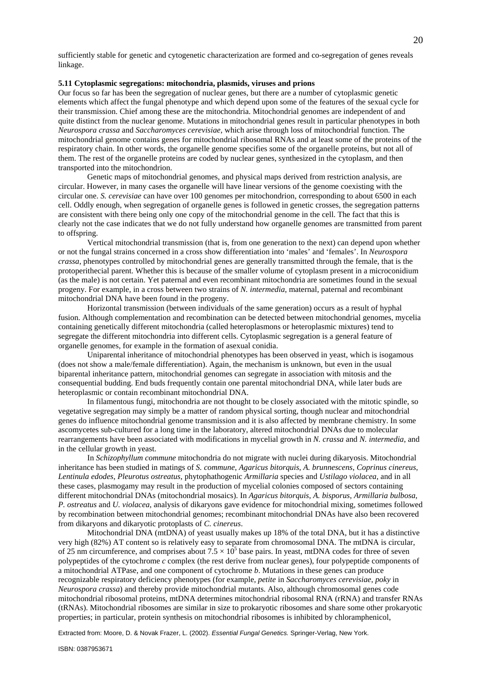sufficiently stable for genetic and cytogenetic characterization are formed and co-segregation of genes reveals linkage.

## **5.11 Cytoplasmic segregations: mitochondria, plasmids, viruses and prions**

Our focus so far has been the segregation of nuclear genes, but there are a number of cytoplasmic genetic elements which affect the fungal phenotype and which depend upon some of the features of the sexual cycle for their transmission. Chief among these are the mitochondria. Mitochondrial genomes are independent of and quite distinct from the nuclear genome. Mutations in mitochondrial genes result in particular phenotypes in both *Neurospora crassa* and *Saccharomyces cerevisiae*, which arise through loss of mitochondrial function. The mitochondrial genome contains genes for mitochondrial ribosomal RNAs and at least some of the proteins of the respiratory chain. In other words, the organelle genome specifies some of the organelle proteins, but not all of them. The rest of the organelle proteins are coded by nuclear genes, synthesized in the cytoplasm, and then transported into the mitochondrion.

 Genetic maps of mitochondrial genomes, and physical maps derived from restriction analysis, are circular. However, in many cases the organelle will have linear versions of the genome coexisting with the circular one. *S. cerevisiae* can have over 100 genomes per mitochondrion, corresponding to about 6500 in each cell. Oddly enough, when segregation of organelle genes is followed in genetic crosses, the segregation patterns are consistent with there being only one copy of the mitochondrial genome in the cell. The fact that this is clearly not the case indicates that we do not fully understand how organelle genomes are transmitted from parent to offspring.

 Vertical mitochondrial transmission (that is, from one generation to the next) can depend upon whether or not the fungal strains concerned in a cross show differentiation into 'males' and 'females'. In *Neurospora crassa*, phenotypes controlled by mitochondrial genes are generally transmitted through the female, that is the protoperithecial parent. Whether this is because of the smaller volume of cytoplasm present in a microconidium (as the male) is not certain. Yet paternal and even recombinant mitochondria are sometimes found in the sexual progeny. For example, in a cross between two strains of *N. intermedia*, maternal, paternal and recombinant mitochondrial DNA have been found in the progeny.

 Horizontal transmission (between individuals of the same generation) occurs as a result of hyphal fusion. Although complementation and recombination can be detected between mitochondrial genomes, mycelia containing genetically different mitochondria (called heteroplasmons or heteroplasmic mixtures) tend to segregate the different mitochondria into different cells. Cytoplasmic segregation is a general feature of organelle genomes, for example in the formation of asexual conidia.

 Uniparental inheritance of mitochondrial phenotypes has been observed in yeast, which is isogamous (does not show a male/female differentiation). Again, the mechanism is unknown, but even in the usual biparental inheritance pattern, mitochondrial genomes can segregate in association with mitosis and the consequential budding. End buds frequently contain one parental mitochondrial DNA, while later buds are heteroplasmic or contain recombinant mitochondrial DNA.

 In filamentous fungi, mitochondria are not thought to be closely associated with the mitotic spindle, so vegetative segregation may simply be a matter of random physical sorting, though nuclear and mitochondrial genes do influence mitochondrial genome transmission and it is also affected by membrane chemistry. In some ascomycetes sub-cultured for a long time in the laboratory, altered mitochondrial DNAs due to molecular rearrangements have been associated with modifications in mycelial growth in *N. crassa* and *N. intermedia*, and in the cellular growth in yeast.

 In *Schizophyllum commune* mitochondria do not migrate with nuclei during dikaryosis. Mitochondrial inheritance has been studied in matings of *S. commune*, *Agaricus bitorquis*, *A. brunnescens*, *Coprinus cinereus*, *Lentinula edodes*, *Pleurotus ostreatus*, phytophathogenic *Armillaria* species and *Ustilago violacea*, and in all these cases, plasmogamy may result in the production of mycelial colonies composed of sectors containing different mitochondrial DNAs (mitochondrial mosaics). In *Agaricus bitorquis*, *A. bisporus*, *Armillaria bulbosa*, *P. ostreatus* and *U. violacea*, analysis of dikaryons gave evidence for mitochondrial mixing, sometimes followed by recombination between mitochondrial genomes; recombinant mitochondrial DNAs have also been recovered from dikaryons and dikaryotic protoplasts of *C. cinereus*.

 Mitochondrial DNA (mtDNA) of yeast usually makes up 18% of the total DNA, but it has a distinctive very high (82%) AT content so is relatively easy to separate from chromosomal DNA. The mtDNA is circular, of 25 nm circumference, and comprises about  $7.5 \times 10^5$  base pairs. In yeast, mtDNA codes for three of seven polypeptides of the cytochrome *c* complex (the rest derive from nuclear genes), four polypeptide components of a mitochondrial ATPase, and one component of cytochrome *b*. Mutations in these genes can produce recognizable respiratory deficiency phenotypes (for example, *petite* in *Saccharomyces cerevisiae*, *poky* in *Neurospora crassa*) and thereby provide mitochondrial mutants. Also, although chromosomal genes code mitochondrial ribosomal proteins, mtDNA determines mitochondrial ribosomal RNA (rRNA) and transfer RNAs (tRNAs). Mitochondrial ribosomes are similar in size to prokaryotic ribosomes and share some other prokaryotic properties; in particular, protein synthesis on mitochondrial ribosomes is inhibited by chloramphenicol,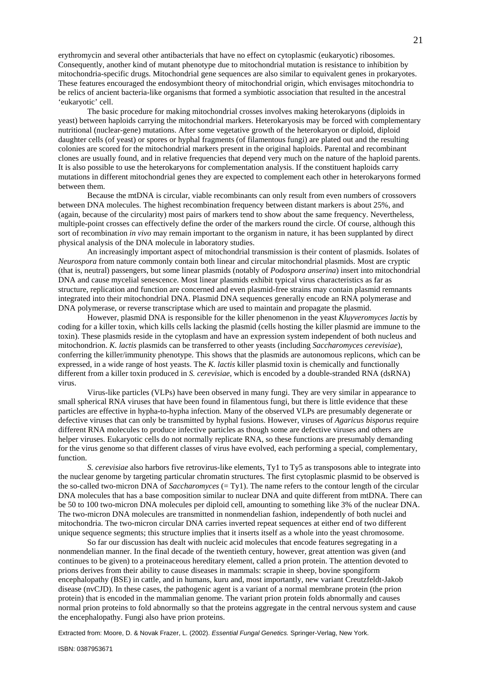erythromycin and several other antibacterials that have no effect on cytoplasmic (eukaryotic) ribosomes. Consequently, another kind of mutant phenotype due to mitochondrial mutation is resistance to inhibition by mitochondria-specific drugs. Mitochondrial gene sequences are also similar to equivalent genes in prokaryotes. These features encouraged the endosymbiont theory of mitochondrial origin, which envisages mitochondria to be relics of ancient bacteria-like organisms that formed a symbiotic association that resulted in the ancestral 'eukaryotic' cell.

 The basic procedure for making mitochondrial crosses involves making heterokaryons (diploids in yeast) between haploids carrying the mitochondrial markers. Heterokaryosis may be forced with complementary nutritional (nuclear-gene) mutations. After some vegetative growth of the heterokaryon or diploid, diploid daughter cells (of yeast) or spores or hyphal fragments (of filamentous fungi) are plated out and the resulting colonies are scored for the mitochondrial markers present in the original haploids. Parental and recombinant clones are usually found, and in relative frequencies that depend very much on the nature of the haploid parents. It is also possible to use the heterokaryons for complementation analysis. If the constituent haploids carry mutations in different mitochondrial genes they are expected to complement each other in heterokaryons formed between them.

 Because the mtDNA is circular, viable recombinants can only result from even numbers of crossovers between DNA molecules. The highest recombination frequency between distant markers is about 25%, and (again, because of the circularity) most pairs of markers tend to show about the same frequency. Nevertheless, multiple-point crosses can effectively define the order of the markers round the circle. Of course, although this sort of recombination *in vivo* may remain important to the organism in nature, it has been supplanted by direct physical analysis of the DNA molecule in laboratory studies.

 An increasingly important aspect of mitochondrial transmission is their content of plasmids. Isolates of *Neurospora* from nature commonly contain both linear and circular mitochondrial plasmids. Most are cryptic (that is, neutral) passengers, but some linear plasmids (notably of *Podospora anserina*) insert into mitochondrial DNA and cause mycelial senescence. Most linear plasmids exhibit typical virus characteristics as far as structure, replication and function are concerned and even plasmid-free strains may contain plasmid remnants integrated into their mitochondrial DNA. Plasmid DNA sequences generally encode an RNA polymerase and DNA polymerase, or reverse transcriptase which are used to maintain and propagate the plasmid.

 However, plasmid DNA is responsible for the killer phenomenon in the yeast *Kluyveromyces lactis* by coding for a killer toxin, which kills cells lacking the plasmid (cells hosting the killer plasmid are immune to the toxin). These plasmids reside in the cytoplasm and have an expression system independent of both nucleus and mitochondrion. *K. lactis* plasmids can be transferred to other yeasts (including *Saccharomyces cerevisiae*), conferring the killer/immunity phenotype. This shows that the plasmids are autonomous replicons, which can be expressed, in a wide range of host yeasts. The *K. lactis* killer plasmid toxin is chemically and functionally different from a killer toxin produced in *S. cerevisiae*, which is encoded by a double-stranded RNA (dsRNA) virus.

 Virus-like particles (VLPs) have been observed in many fungi. They are very similar in appearance to small spherical RNA viruses that have been found in filamentous fungi, but there is little evidence that these particles are effective in hypha-to-hypha infection. Many of the observed VLPs are presumably degenerate or defective viruses that can only be transmitted by hyphal fusions. However, viruses of *Agaricus bisporus* require different RNA molecules to produce infective particles as though some are defective viruses and others are helper viruses. Eukaryotic cells do not normally replicate RNA, so these functions are presumably demanding for the virus genome so that different classes of virus have evolved, each performing a special, complementary, function.

 *S. cerevisiae* also harbors five retrovirus-like elements, Ty1 to Ty5 as transposons able to integrate into the nuclear genome by targeting particular chromatin structures. The first cytoplasmic plasmid to be observed is the so-called two-micron DNA of *Saccharomyces* (= Ty1). The name refers to the contour length of the circular DNA molecules that has a base composition similar to nuclear DNA and quite different from mtDNA. There can be 50 to 100 two-micron DNA molecules per diploid cell, amounting to something like 3% of the nuclear DNA. The two-micron DNA molecules are transmitted in nonmendelian fashion, independently of both nuclei and mitochondria. The two-micron circular DNA carries inverted repeat sequences at either end of two different unique sequence segments; this structure implies that it inserts itself as a whole into the yeast chromosome.

 So far our discussion has dealt with nucleic acid molecules that encode features segregating in a nonmendelian manner. In the final decade of the twentieth century, however, great attention was given (and continues to be given) to a proteinaceous hereditary element, called a prion protein. The attention devoted to prions derives from their ability to cause diseases in mammals: scrapie in sheep, bovine spongiform encephalopathy (BSE) in cattle, and in humans, kuru and, most importantly, new variant Creutzfeldt-Jakob disease (nvCJD). In these cases, the pathogenic agent is a variant of a normal membrane protein (the prion protein) that is encoded in the mammalian genome. The variant prion protein folds abnormally and causes normal prion proteins to fold abnormally so that the proteins aggregate in the central nervous system and cause the encephalopathy. Fungi also have prion proteins.